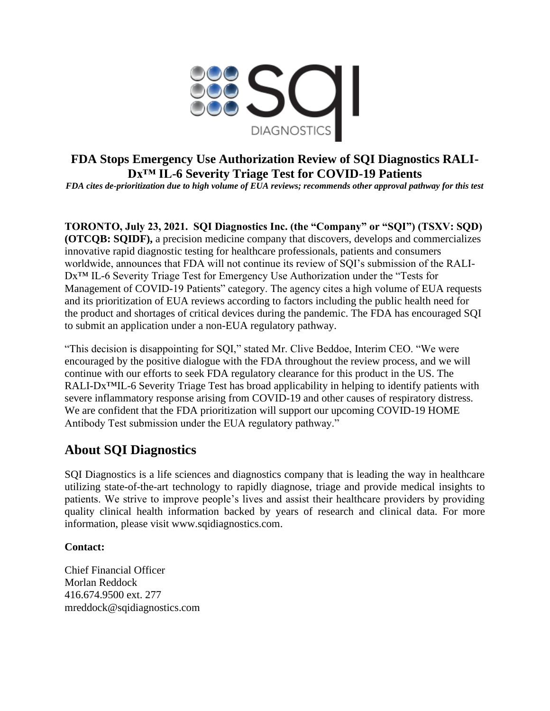

## **FDA Stops Emergency Use Authorization Review of SQI Diagnostics RALI-Dx™ IL-6 Severity Triage Test for COVID-19 Patients**

*FDA cites de-prioritization due to high volume of EUA reviews; recommends other approval pathway for this test*

**TORONTO, July 23, 2021. SQI Diagnostics Inc. (the "Company" or "SQI") (TSXV: SQD) (OTCQB: SQIDF),** a precision medicine company that discovers, develops and commercializes innovative rapid diagnostic testing for healthcare professionals, patients and consumers worldwide, announces that FDA will not continue its review of SQI's submission of the RALI-Dx<sup>™</sup> IL-6 Severity Triage Test for Emergency Use Authorization under the "Tests for Management of COVID-19 Patients" category. The agency cites a high volume of EUA requests and its prioritization of EUA reviews according to factors including the public health need for the product and shortages of critical devices during the pandemic. The FDA has encouraged SQI to submit an application under a non-EUA regulatory pathway.

"This decision is disappointing for SQI," stated Mr. Clive Beddoe, Interim CEO. "We were encouraged by the positive dialogue with the FDA throughout the review process, and we will continue with our efforts to seek FDA regulatory clearance for this product in the US. The RALI-Dx<sup>™</sup>IL-6 Severity Triage Test has broad applicability in helping to identify patients with severe inflammatory response arising from COVID-19 and other causes of respiratory distress. We are confident that the FDA prioritization will support our upcoming COVID-19 HOME Antibody Test submission under the EUA regulatory pathway."

## **About SQI Diagnostics**

SQI Diagnostics is a life sciences and diagnostics company that is leading the way in healthcare utilizing state-of-the-art technology to rapidly diagnose, triage and provide medical insights to patients. We strive to improve people's lives and assist their healthcare providers by providing quality clinical health information backed by years of research and clinical data. For more information, please visit www.sqidiagnostics.com.

## **Contact:**

Chief Financial Officer Morlan Reddock 416.674.9500 ext. 277 mreddock@sqidiagnostics.com